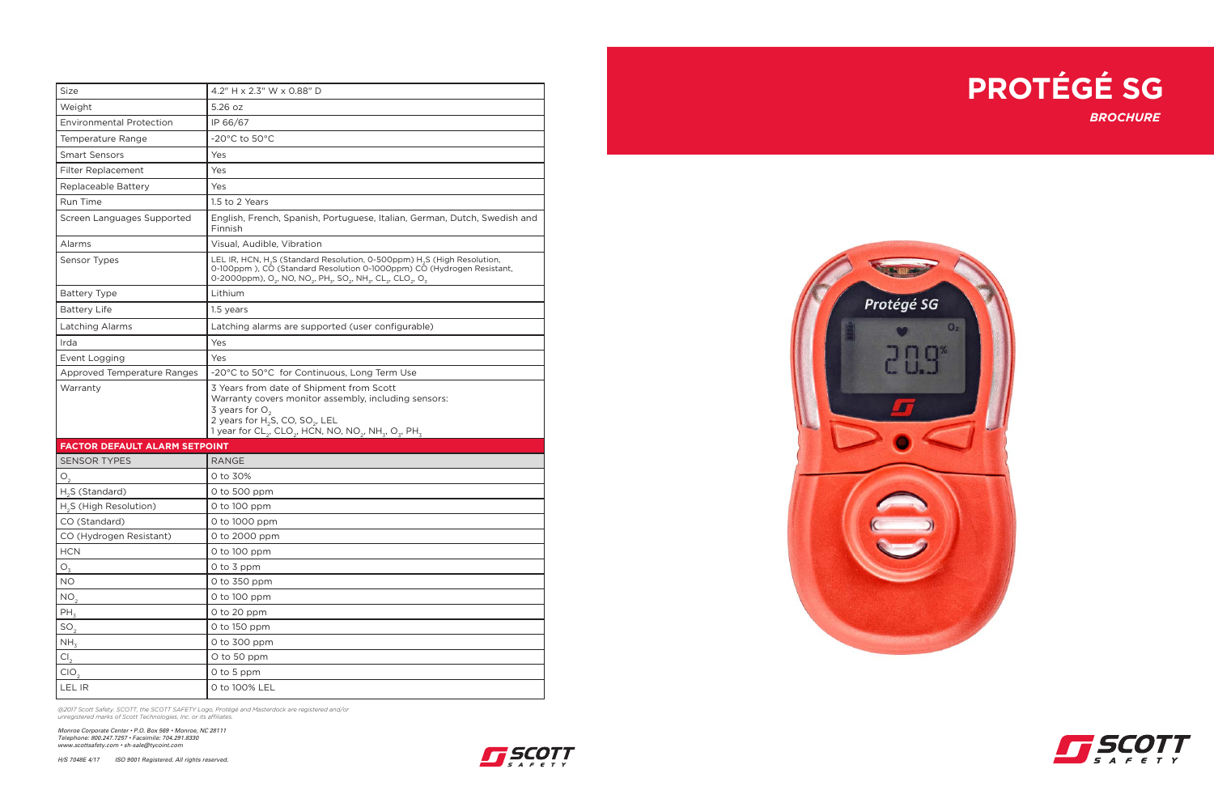



| <b>Size</b>                          | 4.2" H x 2.3" W x 0.88" D                                                                                                                                                                                                                                                                                                                 |
|--------------------------------------|-------------------------------------------------------------------------------------------------------------------------------------------------------------------------------------------------------------------------------------------------------------------------------------------------------------------------------------------|
|                                      |                                                                                                                                                                                                                                                                                                                                           |
| Weight                               | 5.26 oz                                                                                                                                                                                                                                                                                                                                   |
| <b>Environmental Protection</b>      | IP 66/67                                                                                                                                                                                                                                                                                                                                  |
| Temperature Range                    | $-20^{\circ}$ C to 50 $^{\circ}$ C                                                                                                                                                                                                                                                                                                        |
| <b>Smart Sensors</b>                 | Yes                                                                                                                                                                                                                                                                                                                                       |
| Filter Replacement                   | Yes                                                                                                                                                                                                                                                                                                                                       |
| Replaceable Battery                  | Yes                                                                                                                                                                                                                                                                                                                                       |
| Run Time                             | 1.5 to 2 Years                                                                                                                                                                                                                                                                                                                            |
| Screen Languages Supported           | English, French, Spanish, Portuguese, Italian, German, Dutch, Swedish and<br>Finnish                                                                                                                                                                                                                                                      |
| Alarms                               | Visual, Audible, Vibration                                                                                                                                                                                                                                                                                                                |
| Sensor Types                         | LEL IR, HCN, H <sub>2</sub> S (Standard Resolution, 0-500ppm) H <sub>2</sub> S (High Resolution,<br>0-100ppm), CO (Standard Resolution 0-1000ppm) CO (Hydrogen Resistant,<br>0-2000ppm), O <sub>2</sub> , NO, NO <sub>2</sub> , PH <sub>3</sub> , SO <sub>2</sub> , NH <sub>3</sub> , CL <sub>2</sub> , CLO <sub>2</sub> , O <sub>3</sub> |
| <b>Battery Type</b>                  | Lithium                                                                                                                                                                                                                                                                                                                                   |
| <b>Battery Life</b>                  | 1.5 years                                                                                                                                                                                                                                                                                                                                 |
| Latching Alarms                      | Latching alarms are supported (user configurable)                                                                                                                                                                                                                                                                                         |
| Irda                                 | Yes                                                                                                                                                                                                                                                                                                                                       |
| Event Logging                        | Yes                                                                                                                                                                                                                                                                                                                                       |
| Approved Temperature Ranges          | -20°C to 50°C for Continuous, Long Term Use                                                                                                                                                                                                                                                                                               |
| Warranty                             | 3 Years from date of Shipment from Scott<br>Warranty covers monitor assembly, including sensors:<br>3 years for $O2$<br>2 years for $H_2$ S, CO, SO <sub>2</sub> , LEL<br>1 year for CL <sub>2</sub> , CLO <sub>2</sub> , HCN, NO, NO <sub>2</sub> , NH <sub>3</sub> , O <sub>3</sub> , PH <sub>3</sub>                                   |
| <b>FACTOR DEFAULT ALARM SETPOINT</b> |                                                                                                                                                                                                                                                                                                                                           |
| <b>SENSOR TYPES</b>                  | <b>RANGE</b>                                                                                                                                                                                                                                                                                                                              |
| O <sub>2</sub>                       | 0 to 30%                                                                                                                                                                                                                                                                                                                                  |
| H <sub>2</sub> S (Standard)          | 0 to 500 ppm                                                                                                                                                                                                                                                                                                                              |
| H <sub>2</sub> S (High Resolution)   | 0 to 100 ppm                                                                                                                                                                                                                                                                                                                              |
| CO (Standard)                        | 0 to 1000 ppm                                                                                                                                                                                                                                                                                                                             |
| CO (Hydrogen Resistant)              | 0 to 2000 ppm                                                                                                                                                                                                                                                                                                                             |
| $HCN$                                | 0 to 100 ppm                                                                                                                                                                                                                                                                                                                              |
| $O_{\overline{3}}$                   | 0 to 3 ppm                                                                                                                                                                                                                                                                                                                                |
| $NO$                                 | 0 to 350 ppm                                                                                                                                                                                                                                                                                                                              |
| NO <sub>2</sub>                      | 0 to 100 ppm                                                                                                                                                                                                                                                                                                                              |
| $PH_3$                               | 0 to 20 ppm                                                                                                                                                                                                                                                                                                                               |
| SO <sub>2</sub>                      | 0 to 150 ppm                                                                                                                                                                                                                                                                                                                              |
| NH <sub>3</sub>                      | 0 to 300 ppm                                                                                                                                                                                                                                                                                                                              |
| CI <sub>2</sub>                      | O to 50 ppm                                                                                                                                                                                                                                                                                                                               |
| CIO <sub>2</sub>                     | 0 to 5 ppm                                                                                                                                                                                                                                                                                                                                |
|                                      |                                                                                                                                                                                                                                                                                                                                           |

*@2017 Scott Safety. SCOTT, the SCOTT SAFETY Logo, Protégé and Masterdock are registered and/or unregistered marks of Scott Technologies, Inc. or its affiliates.*

*Monroe Corporate Center • P.O. Box 569 • Monroe, NC 28111 Telephone: 800.247.7257 • Facsimile: 704.291.8330 www.scottsafety.com • sh-sale@tycoint.com*